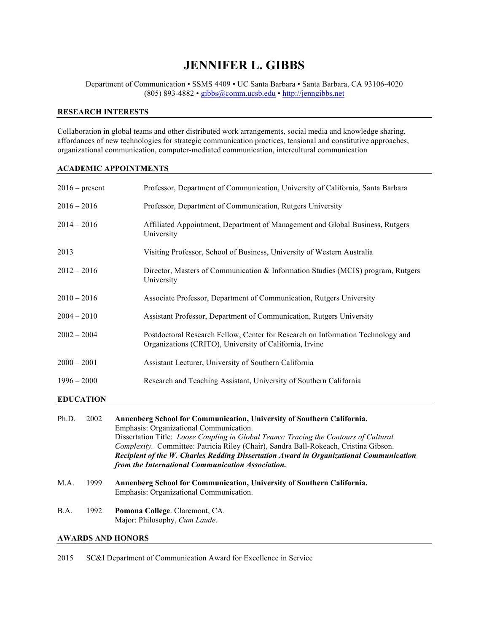# **JENNIFER L. GIBBS**

Department of Communication • SSMS 4409 • UC Santa Barbara • Santa Barbara, CA 93106-4020 (805) 893-4882 • gibbs@comm.ucsb.edu • http://jenngibbs.net

# **RESEARCH INTERESTS**

Collaboration in global teams and other distributed work arrangements, social media and knowledge sharing, affordances of new technologies for strategic communication practices, tensional and constitutive approaches, organizational communication, computer-mediated communication, intercultural communication

# **ACADEMIC APPOINTMENTS**

|                          | $2016$ – present | Professor, Department of Communication, University of California, Santa Barbara                                                                                                                                                                                                                                                                                                                                                                  |  |  |
|--------------------------|------------------|--------------------------------------------------------------------------------------------------------------------------------------------------------------------------------------------------------------------------------------------------------------------------------------------------------------------------------------------------------------------------------------------------------------------------------------------------|--|--|
| $2016 - 2016$            |                  | Professor, Department of Communication, Rutgers University                                                                                                                                                                                                                                                                                                                                                                                       |  |  |
| $2014 - 2016$            |                  | Affiliated Appointment, Department of Management and Global Business, Rutgers<br>University                                                                                                                                                                                                                                                                                                                                                      |  |  |
| 2013                     |                  | Visiting Professor, School of Business, University of Western Australia                                                                                                                                                                                                                                                                                                                                                                          |  |  |
| $2012 - 2016$            |                  | Director, Masters of Communication & Information Studies (MCIS) program, Rutgers<br>University                                                                                                                                                                                                                                                                                                                                                   |  |  |
| $2010 - 2016$            |                  | Associate Professor, Department of Communication, Rutgers University                                                                                                                                                                                                                                                                                                                                                                             |  |  |
| $2004 - 2010$            |                  | Assistant Professor, Department of Communication, Rutgers University                                                                                                                                                                                                                                                                                                                                                                             |  |  |
| $2002 - 2004$            |                  | Postdoctoral Research Fellow, Center for Research on Information Technology and<br>Organizations (CRITO), University of California, Irvine                                                                                                                                                                                                                                                                                                       |  |  |
| $2000 - 2001$            |                  | Assistant Lecturer, University of Southern California                                                                                                                                                                                                                                                                                                                                                                                            |  |  |
| $1996 - 2000$            |                  | Research and Teaching Assistant, University of Southern California                                                                                                                                                                                                                                                                                                                                                                               |  |  |
|                          | <b>EDUCATION</b> |                                                                                                                                                                                                                                                                                                                                                                                                                                                  |  |  |
| Ph.D.                    | 2002             | Annenberg School for Communication, University of Southern California.<br>Emphasis: Organizational Communication.<br>Dissertation Title: Loose Coupling in Global Teams: Tracing the Contours of Cultural<br>Complexity. Committee: Patricia Riley (Chair), Sandra Ball-Rokeach, Cristina Gibson.<br>Recipient of the W. Charles Redding Dissertation Award in Organizational Communication<br>from the International Communication Association. |  |  |
| M.A.                     | 1999             | Annenberg School for Communication, University of Southern California.<br>Emphasis: Organizational Communication.                                                                                                                                                                                                                                                                                                                                |  |  |
| B.A.                     | 1992             | Pomona College. Claremont, CA.<br>Major: Philosophy, Cum Laude.                                                                                                                                                                                                                                                                                                                                                                                  |  |  |
| <b>AWARDS AND HONORS</b> |                  |                                                                                                                                                                                                                                                                                                                                                                                                                                                  |  |  |

2015 SC&I Department of Communication Award for Excellence in Service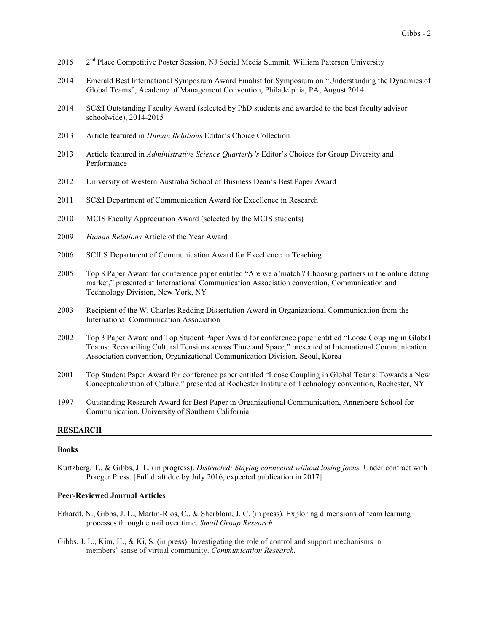- 2015 2<sup>nd</sup> Place Competitive Poster Session, NJ Social Media Summit, William Paterson University
- 2014 Emerald Best International Symposium Award Finalist for Symposium on "Understanding the Dynamics of Global Teams", Academy of Management Convention, Philadelphia, PA, August 2014
- 2014 SC&I Outstanding Faculty Award (selected by PhD students and awarded to the best faculty advisor schoolwide), 2014-2015
- 2013 Article featured in *Human Relations* Editor's Choice Collection
- 2013 Article featured in *Administrative Science Quarterly's* Editor's Choices for Group Diversity and Performance
- 2012 University of Western Australia School of Business Dean's Best Paper Award
- 2011 SC&I Department of Communication Award for Excellence in Research
- 2010 MCIS Faculty Appreciation Award (selected by the MCIS students)
- 2009 *Human Relations* Article of the Year Award
- 2006 SCILS Department of Communication Award for Excellence in Teaching
- 2005 Top 8 Paper Award for conference paper entitled "Are we a 'match'? Choosing partners in the online dating market," presented at International Communication Association convention, Communication and Technology Division, New York, NY
- 2003 Recipient of the W. Charles Redding Dissertation Award in Organizational Communication from the International Communication Association
- 2002 Top 3 Paper Award and Top Student Paper Award for conference paper entitled "Loose Coupling in Global Teams: Reconciling Cultural Tensions across Time and Space," presented at International Communication Association convention, Organizational Communication Division, Seoul, Korea
- 2001 Top Student Paper Award for conference paper entitled "Loose Coupling in Global Teams: Towards a New Conceptualization of Culture," presented at Rochester Institute of Technology convention, Rochester, NY
- 1997 Outstanding Research Award for Best Paper in Organizational Communication, Annenberg School for Communication, University of Southern California

#### **RESEARCH**

#### **Books**

Kurtzberg, T., & Gibbs, J. L. (in progress). *Distracted: Staying connected without losing focus.* Under contract with Praeger Press. [Full draft due by July 2016, expected publication in 2017]

#### **Peer-Reviewed Journal Articles**

- Erhardt, N., Gibbs, J. L., Martin-Rios, C., & Sherblom, J. C. (in press). Exploring dimensions of team learning processes through email over time. *Small Group Research.*
- Gibbs, J. L., Kim, H., & Ki, S. (in press). Investigating the role of control and support mechanisms in members' sense of virtual community. *Communication Research.*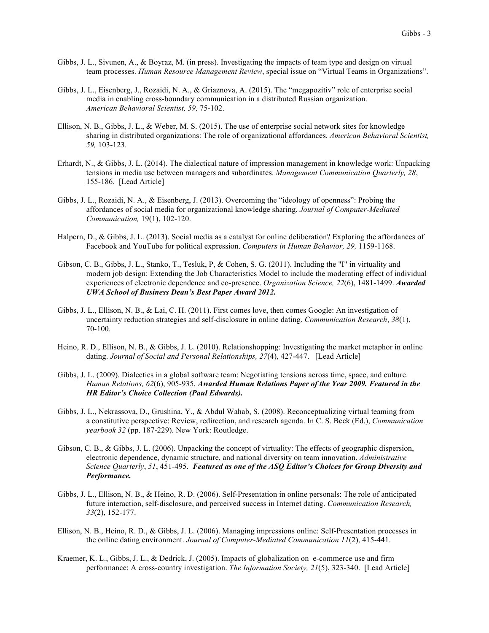- Gibbs, J. L., Sivunen, A., & Boyraz, M. (in press). Investigating the impacts of team type and design on virtual team processes. *Human Resource Management Review*, special issue on "Virtual Teams in Organizations".
- Gibbs, J. L., Eisenberg, J., Rozaidi, N. A., & Griaznova, A. (2015). The "megapozitiv" role of enterprise social media in enabling cross-boundary communication in a distributed Russian organization. *American Behavioral Scientist, 59,* 75-102.
- Ellison, N. B., Gibbs, J. L., & Weber, M. S. (2015). The use of enterprise social network sites for knowledge sharing in distributed organizations: The role of organizational affordances. *American Behavioral Scientist, 59,* 103-123.
- Erhardt, N., & Gibbs, J. L. (2014). The dialectical nature of impression management in knowledge work: Unpacking tensions in media use between managers and subordinates. *Management Communication Quarterly, 28*, 155-186. [Lead Article]
- Gibbs, J. L., Rozaidi, N. A., & Eisenberg, J. (2013). Overcoming the "ideology of openness": Probing the affordances of social media for organizational knowledge sharing. *Journal of Computer-Mediated Communication,* 19(1), 102-120.
- Halpern, D., & Gibbs, J. L. (2013). Social media as a catalyst for online deliberation? Exploring the affordances of Facebook and YouTube for political expression. *Computers in Human Behavior, 29,* 1159-1168.
- Gibson, C. B., Gibbs, J. L., Stanko, T., Tesluk, P, & Cohen, S. G. (2011). Including the "I" in virtuality and modern job design: Extending the Job Characteristics Model to include the moderating effect of individual experiences of electronic dependence and co-presence. *Organization Science, 22*(6), 1481-1499. *Awarded UWA School of Business Dean's Best Paper Award 2012.*
- Gibbs, J. L., Ellison, N. B., & Lai, C. H. (2011). First comes love, then comes Google: An investigation of uncertainty reduction strategies and self-disclosure in online dating. *Communication Research*, *38*(1), 70-100.
- Heino, R. D., Ellison, N. B., & Gibbs, J. L. (2010). Relationshopping: Investigating the market metaphor in online dating. *Journal of Social and Personal Relationships, 27*(4), 427-447. [Lead Article]
- Gibbs, J. L. (2009). Dialectics in a global software team: Negotiating tensions across time, space, and culture. *Human Relations, 62*(6), 905-935. *Awarded Human Relations Paper of the Year 2009. Featured in the HR Editor's Choice Collection (Paul Edwards).*
- Gibbs, J. L., Nekrassova, D., Grushina, Y., & Abdul Wahab, S. (2008). Reconceptualizing virtual teaming from a constitutive perspective: Review, redirection, and research agenda. In C. S. Beck (Ed.), *Communication yearbook 32* (pp. 187-229). New York: Routledge.
- Gibson, C. B., & Gibbs, J. L. (2006). Unpacking the concept of virtuality: The effects of geographic dispersion, electronic dependence, dynamic structure, and national diversity on team innovation. *Administrative Science Quarterly*, *51*, 451-495. *Featured as one of the ASQ Editor's Choices for Group Diversity and Performance.*
- Gibbs, J. L., Ellison, N. B., & Heino, R. D. (2006). Self-Presentation in online personals: The role of anticipated future interaction, self-disclosure, and perceived success in Internet dating. *Communication Research, 33*(2), 152-177.
- Ellison, N. B., Heino, R. D., & Gibbs, J. L. (2006). Managing impressions online: Self-Presentation processes in the online dating environment. *Journal of Computer-Mediated Communication 11*(2), 415-441.
- Kraemer, K. L., Gibbs, J. L., & Dedrick, J. (2005). Impacts of globalization on e-commerce use and firm performance: A cross-country investigation. *The Information Society, 21*(5), 323-340. [Lead Article]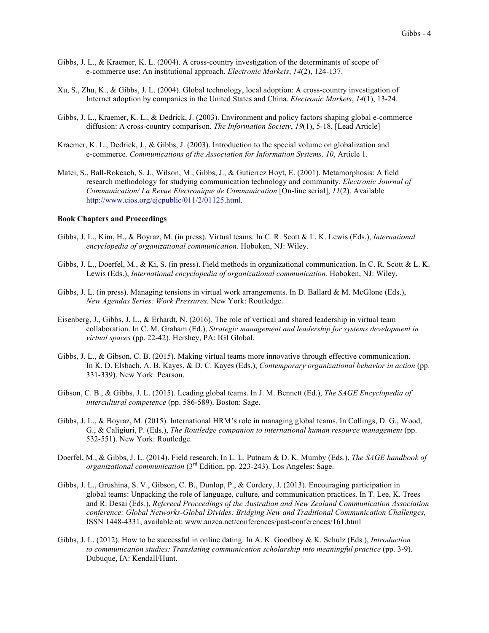- Gibbs, J. L., & Kraemer, K. L. (2004). A cross-country investigation of the determinants of scope of e-commerce use: An institutional approach. *Electronic Markets*, *14*(2), 124-137.
- Xu, S., Zhu, K., & Gibbs, J. L. (2004). Global technology, local adoption: A cross-country investigation of Internet adoption by companies in the United States and China. *Electronic Markets*, *14*(1), 13-24.
- Gibbs, J. L., Kraemer, K. L., & Dedrick, J. (2003). Environment and policy factors shaping global e-commerce diffusion: A cross-country comparison. *The Information Society*, *19*(1), 5-18. [Lead Article]
- Kraemer, K. L., Dedrick, J., & Gibbs, J. (2003). Introduction to the special volume on globalization and e-commerce. *Communications of the Association for Information Systems, 10*, Article 1.
- Matei, S., Ball-Rokeach, S. J., Wilson, M., Gibbs, J., & Gutierrez Hoyt, E. (2001). Metamorphosis: A field research methodology for studying communication technology and community. *Electronic Journal of Communication/ La Revue Electronique de Communication* [On-line serial], *11*(2). Available http://www.cios.org/ejcpublic/011/2/01125.html.

#### **Book Chapters and Proceedings**

- Gibbs, J. L., Kim, H., & Boyraz, M. (in press). Virtual teams. In C. R. Scott & L. K. Lewis (Eds.), *International encyclopedia of organizational communication.* Hoboken, NJ: Wiley.
- Gibbs, J. L., Doerfel, M., & Ki, S. (in press). Field methods in organizational communication. In C. R. Scott & L. K. Lewis (Eds.), *International encyclopedia of organizational communication.* Hoboken, NJ: Wiley.
- Gibbs, J. L. (in press). Managing tensions in virtual work arrangements. In D. Ballard & M. McGlone (Eds.), *New Agendas Series: Work Pressures.* New York: Routledge.
- Eisenberg, J., Gibbs, J. L., & Erhardt, N. (2016). The role of vertical and shared leadership in virtual team collaboration. In C. M. Graham (Ed.), *Strategic management and leadership for systems development in virtual spaces* (pp. 22-42)*.* Hershey, PA: IGI Global.
- Gibbs, J. L., & Gibson, C. B. (2015). Making virtual teams more innovative through effective communication. In K. D. Elsbach, A. B. Kayes, & D. C. Kayes (Eds.), *Contemporary organizational behavior in action* (pp. 331-339). New York: Pearson.
- Gibson, C. B., & Gibbs, J. L. (2015). Leading global teams. In J. M. Bennett (Ed.), *The SAGE Encyclopedia of intercultural competence* (pp. 586-589). Boston: Sage.
- Gibbs, J. L., & Boyraz, M. (2015). International HRM's role in managing global teams. In Collings, D. G., Wood, G., & Caligiuri, P. (Eds.), *The Routledge companion to international human resource management* (pp. 532-551). New York: Routledge.
- Doerfel, M., & Gibbs, J. L. (2014). Field research. In L. L. Putnam & D. K. Mumby (Eds.), *The SAGE handbook of organizational communication* (3rd Edition, pp. 223-243). Los Angeles: Sage.
- Gibbs, J. L., Grushina, S. V., Gibson, C. B., Dunlop, P., & Cordery, J. (2013). Encouraging participation in global teams: Unpacking the role of language, culture, and communication practices. In T. Lee, K. Trees and R. Desai (Eds.), *Refereed Proceedings of the Australian and New Zealand Communication Association conference: Global Networks-Global Divides: Bridging New and Traditional Communication Challenges,*  ISSN 1448-4331, available at: www.anzca.net/conferences/past-conferences/161.html
- Gibbs, J. L. (2012). How to be successful in online dating. In A. K. Goodboy & K. Schulz (Eds.), *Introduction to communication studies: Translating communication scholarship into meaningful practice* (pp. 3-9). Dubuque, IA: Kendall/Hunt.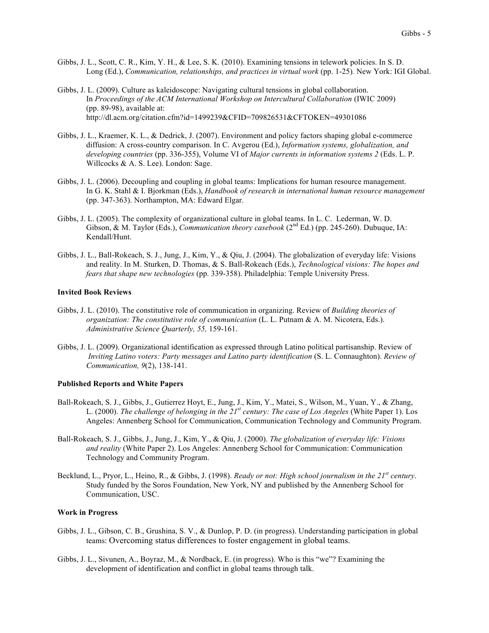- Gibbs, J. L., Scott, C. R., Kim, Y. H., & Lee, S. K. (2010). Examining tensions in telework policies. In S. D. Long (Ed.), *Communication, relationships, and practices in virtual work* (pp. 1-25)*.* New York: IGI Global.
- Gibbs, J. L. (2009). Culture as kaleidoscope: Navigating cultural tensions in global collaboration. In *Proceedings of the ACM International Workshop on Intercultural Collaboration* (IWIC 2009) (pp. 89-98), available at: http://dl.acm.org/citation.cfm?id=1499239&CFID=709826531&CFTOKEN=49301086
- Gibbs, J. L., Kraemer, K. L., & Dedrick, J. (2007). Environment and policy factors shaping global e-commerce diffusion: A cross-country comparison. In C. Avgerou (Ed.), *Information systems, globalization, and developing countries* (pp. 336-355), Volume VI of *Major currents in information systems 2* (Eds. L. P. Willcocks & A. S. Lee)*.* London: Sage.
- Gibbs, J. L. (2006). Decoupling and coupling in global teams: Implications for human resource management. In G. K. Stahl & I. Bjorkman (Eds.), *Handbook of research in international human resource management* (pp. 347-363). Northampton, MA: Edward Elgar.
- Gibbs, J. L. (2005). The complexity of organizational culture in global teams. In L. C. Lederman, W. D. Gibson, & M. Taylor (Eds.), *Communication theory casebook* (2<sup>nd</sup> Ed.) (pp. 245-260). Dubuque, IA: Kendall/Hunt.
- Gibbs, J. L., Ball-Rokeach, S. J., Jung, J., Kim, Y., & Qiu, J. (2004). The globalization of everyday life: Visions and reality. In M. Sturken, D. Thomas, & S. Ball-Rokeach (Eds.), *Technological visions: The hopes and fears that shape new technologies* (pp. 339-358). Philadelphia: Temple University Press.

#### **Invited Book Reviews**

- Gibbs, J. L. (2010). The constitutive role of communication in organizing. Review of *Building theories of organization: The constitutive role of communication* (L. L. Putnam & A. M. Nicotera, Eds.). *Administrative Science Quarterly, 55,* 159-161.
- Gibbs, J. L. (2009). Organizational identification as expressed through Latino political partisanship. Review of *Inviting Latino voters: Party messages and Latino party identification* (S. L. Connaughton). *Review of Communication, 9*(2), 138-141.

## **Published Reports and White Papers**

- Ball-Rokeach, S. J., Gibbs, J., Gutierrez Hoyt, E., Jung, J., Kim, Y., Matei, S., Wilson, M., Yuan, Y., & Zhang, L. (2000). *The challenge of belonging in the 21st century: The case of Los Angeles* (White Paper 1). Los Angeles: Annenberg School for Communication, Communication Technology and Community Program.
- Ball-Rokeach, S. J., Gibbs, J., Jung, J., Kim, Y., & Qiu, J. (2000). *The globalization of everyday life: Visions and reality* (White Paper 2). Los Angeles: Annenberg School for Communication: Communication Technology and Community Program.
- Becklund, L., Pryor, L., Heino, R., & Gibbs, J. (1998). *Ready or not: High school journalism in the 21st century*. Study funded by the Soros Foundation, New York, NY and published by the Annenberg School for Communication, USC.

#### **Work in Progress**

- Gibbs, J. L., Gibson, C. B., Grushina, S. V., & Dunlop, P. D. (in progress). Understanding participation in global teams: Overcoming status differences to foster engagement in global teams.
- Gibbs, J. L., Sivunen, A., Boyraz, M., & Nordback, E. (in progress). Who is this "we"? Examining the development of identification and conflict in global teams through talk.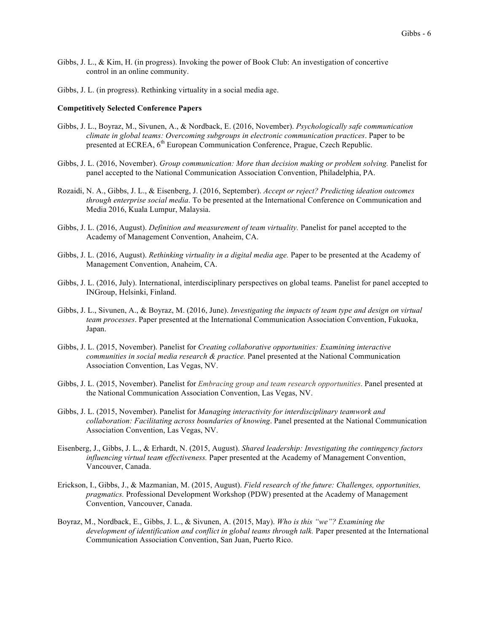- Gibbs, J. L., & Kim, H. (in progress). Invoking the power of Book Club: An investigation of concertive control in an online community.
- Gibbs, J. L. (in progress). Rethinking virtuality in a social media age.

#### **Competitively Selected Conference Papers**

- Gibbs, J. L., Boyraz, M., Sivunen, A., & Nordback, E. (2016, November). *Psychologically safe communication climate in global teams: Overcoming subgroups in electronic communication practices*. Paper to be presented at ECREA, 6<sup>th</sup> European Communication Conference, Prague, Czech Republic.
- Gibbs, J. L. (2016, November). *Group communication: More than decision making or problem solving.* Panelist for panel accepted to the National Communication Association Convention, Philadelphia, PA.
- Rozaidi, N. A., Gibbs, J. L., & Eisenberg, J. (2016, September). *Accept or reject? Predicting ideation outcomes through enterprise social media*. To be presented at the International Conference on Communication and Media 2016, Kuala Lumpur, Malaysia.
- Gibbs, J. L. (2016, August). *Definition and measurement of team virtuality.* Panelist for panel accepted to the Academy of Management Convention, Anaheim, CA.
- Gibbs, J. L. (2016, August). *Rethinking virtuality in a digital media age.* Paper to be presented at the Academy of Management Convention, Anaheim, CA.
- Gibbs, J. L. (2016, July). International, interdisciplinary perspectives on global teams. Panelist for panel accepted to INGroup, Helsinki, Finland.
- Gibbs, J. L., Sivunen, A., & Boyraz, M. (2016, June). *Investigating the impacts of team type and design on virtual team processes*. Paper presented at the International Communication Association Convention, Fukuoka, Japan.
- Gibbs, J. L. (2015, November). Panelist for *Creating collaborative opportunities: Examining interactive communities in social media research & practice.* Panel presented at the National Communication Association Convention, Las Vegas, NV.
- Gibbs, J. L. (2015, November). Panelist for *Embracing group and team research opportunities*. Panel presented at the National Communication Association Convention, Las Vegas, NV.
- Gibbs, J. L. (2015, November). Panelist for *Managing interactivity for interdisciplinary teamwork and collaboration: Facilitating across boundaries of knowing*. Panel presented at the National Communication Association Convention, Las Vegas, NV.
- Eisenberg, J., Gibbs, J. L., & Erhardt, N. (2015, August). *Shared leadership: Investigating the contingency factors influencing virtual team effectiveness.* Paper presented at the Academy of Management Convention, Vancouver, Canada.
- Erickson, I., Gibbs, J., & Mazmanian, M. (2015, August). *Field research of the future: Challenges, opportunities, pragmatics.* Professional Development Workshop (PDW) presented at the Academy of Management Convention, Vancouver, Canada.
- Boyraz, M., Nordback, E., Gibbs, J. L., & Sivunen, A. (2015, May). *Who is this "we"? Examining the development of identification and conflict in global teams through talk.* Paper presented at the International Communication Association Convention, San Juan, Puerto Rico.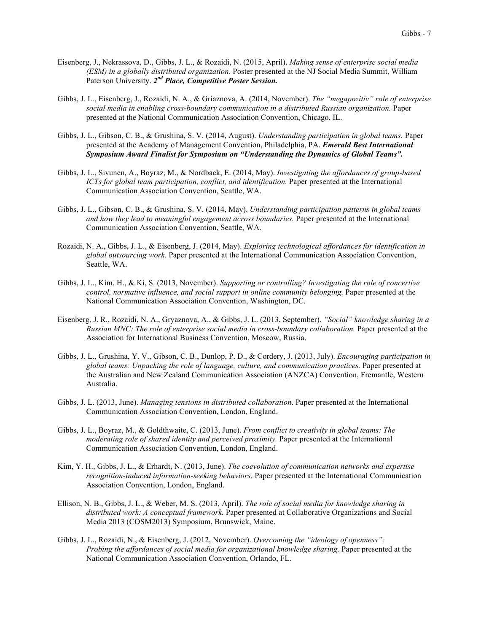- Eisenberg, J., Nekrassova, D., Gibbs, J. L., & Rozaidi, N. (2015, April). *Making sense of enterprise social media (ESM) in a globally distributed organization.* Poster presented at the NJ Social Media Summit, William Paterson University. *2nd Place, Competitive Poster Session.*
- Gibbs, J. L., Eisenberg, J., Rozaidi, N. A., & Griaznova, A. (2014, November). *The "megapozitiv" role of enterprise social media in enabling cross-boundary communication in a distributed Russian organization.* Paper presented at the National Communication Association Convention, Chicago, IL.
- Gibbs, J. L., Gibson, C. B., & Grushina, S. V. (2014, August). *Understanding participation in global teams.* Paper presented at the Academy of Management Convention, Philadelphia, PA. *Emerald Best International Symposium Award Finalist for Symposium on "Understanding the Dynamics of Global Teams".*
- Gibbs, J. L., Sivunen, A., Boyraz, M., & Nordback, E. (2014, May). *Investigating the affordances of group-based ICTs for global team participation, conflict, and identification.* Paper presented at the International Communication Association Convention, Seattle, WA.
- Gibbs, J. L., Gibson, C. B., & Grushina, S. V. (2014, May). *Understanding participation patterns in global teams and how they lead to meaningful engagement across boundaries.* Paper presented at the International Communication Association Convention, Seattle, WA.
- Rozaidi, N. A., Gibbs, J. L., & Eisenberg, J. (2014, May). *Exploring technological affordances for identification in global outsourcing work.* Paper presented at the International Communication Association Convention, Seattle, WA.
- Gibbs, J. L., Kim, H., & Ki, S. (2013, November). *Supporting or controlling? Investigating the role of concertive control, normative influence, and social support in online community belonging.* Paper presented at the National Communication Association Convention, Washington, DC.
- Eisenberg, J. R., Rozaidi, N. A., Gryaznova, A., & Gibbs, J. L. (2013, September). *"Social" knowledge sharing in a Russian MNC: The role of enterprise social media in cross-boundary collaboration.* Paper presented at the Association for International Business Convention, Moscow, Russia.
- Gibbs, J. L., Grushina, Y. V., Gibson, C. B., Dunlop, P. D., & Cordery, J. (2013, July). *Encouraging participation in global teams: Unpacking the role of language, culture, and communication practices.* Paper presented at the Australian and New Zealand Communication Association (ANZCA) Convention, Fremantle, Western Australia.
- Gibbs, J. L. (2013, June). *Managing tensions in distributed collaboration*. Paper presented at the International Communication Association Convention, London, England.
- Gibbs, J. L., Boyraz, M., & Goldthwaite, C. (2013, June). *From conflict to creativity in global teams: The moderating role of shared identity and perceived proximity.* Paper presented at the International Communication Association Convention, London, England.
- Kim, Y. H., Gibbs, J. L., & Erhardt, N. (2013, June). *The coevolution of communication networks and expertise recognition-induced information-seeking behaviors.* Paper presented at the International Communication Association Convention, London, England.
- Ellison, N. B., Gibbs, J. L., & Weber, M. S. (2013, April). *The role of social media for knowledge sharing in distributed work: A conceptual framework.* Paper presented at Collaborative Organizations and Social Media 2013 (COSM2013) Symposium, Brunswick, Maine.
- Gibbs, J. L., Rozaidi, N., & Eisenberg, J. (2012, November). *Overcoming the "ideology of openness": Probing the affordances of social media for organizational knowledge sharing.* Paper presented at the National Communication Association Convention, Orlando, FL.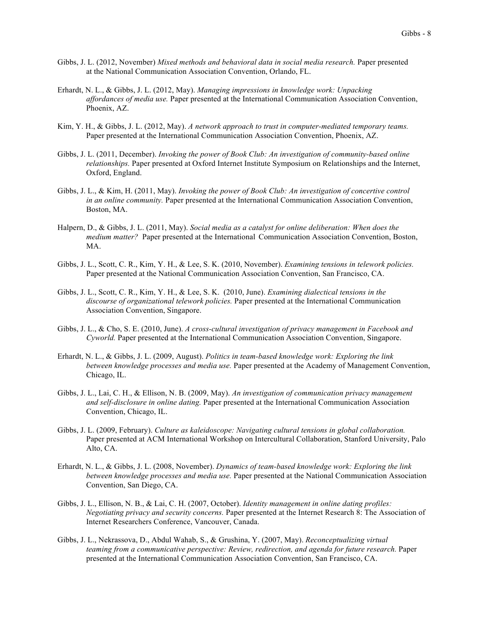- Gibbs, J. L. (2012, November) *Mixed methods and behavioral data in social media research.* Paper presented at the National Communication Association Convention, Orlando, FL.
- Erhardt, N. L., & Gibbs, J. L. (2012, May). *Managing impressions in knowledge work: Unpacking affordances of media use.* Paper presented at the International Communication Association Convention, Phoenix, AZ.
- Kim, Y. H., & Gibbs, J. L. (2012, May). *A network approach to trust in computer-mediated temporary teams.* Paper presented at the International Communication Association Convention, Phoenix, AZ.
- Gibbs, J. L. (2011, December). *Invoking the power of Book Club: An investigation of community-based online relationships.* Paper presented at Oxford Internet Institute Symposium on Relationships and the Internet, Oxford, England.
- Gibbs, J. L., & Kim, H. (2011, May). *Invoking the power of Book Club: An investigation of concertive control in an online community.* Paper presented at the International Communication Association Convention, Boston, MA.
- Halpern, D., & Gibbs, J. L. (2011, May). *Social media as a catalyst for online deliberation: When does the medium matter?* Paper presented at the International Communication Association Convention, Boston, MA.
- Gibbs, J. L., Scott, C. R., Kim, Y. H., & Lee, S. K. (2010, November). *Examining tensions in telework policies.* Paper presented at the National Communication Association Convention, San Francisco, CA.
- Gibbs, J. L., Scott, C. R., Kim, Y. H., & Lee, S. K. (2010, June). *Examining dialectical tensions in the discourse of organizational telework policies.* Paper presented at the International Communication Association Convention, Singapore.
- Gibbs, J. L., & Cho, S. E. (2010, June). *A cross-cultural investigation of privacy management in Facebook and Cyworld.* Paper presented at the International Communication Association Convention, Singapore.
- Erhardt, N. L., & Gibbs, J. L. (2009, August). *Politics in team-based knowledge work: Exploring the link between knowledge processes and media use.* Paper presented at the Academy of Management Convention, Chicago, IL.
- Gibbs, J. L., Lai, C. H., & Ellison, N. B. (2009, May). *An investigation of communication privacy management and self-disclosure in online dating.* Paper presented at the International Communication Association Convention, Chicago, IL.
- Gibbs, J. L. (2009, February). *Culture as kaleidoscope: Navigating cultural tensions in global collaboration.* Paper presented at ACM International Workshop on Intercultural Collaboration, Stanford University, Palo Alto, CA.
- Erhardt, N. L., & Gibbs, J. L. (2008, November). *Dynamics of team-based knowledge work: Exploring the link between knowledge processes and media use.* Paper presented at the National Communication Association Convention, San Diego, CA.
- Gibbs, J. L., Ellison, N. B., & Lai, C. H. (2007, October). *Identity management in online dating profiles: Negotiating privacy and security concerns.* Paper presented at the Internet Research 8: The Association of Internet Researchers Conference, Vancouver, Canada.
- Gibbs, J. L., Nekrassova, D., Abdul Wahab, S., & Grushina, Y. (2007, May). *Reconceptualizing virtual teaming from a communicative perspective: Review, redirection, and agenda for future research. Paper* presented at the International Communication Association Convention, San Francisco, CA.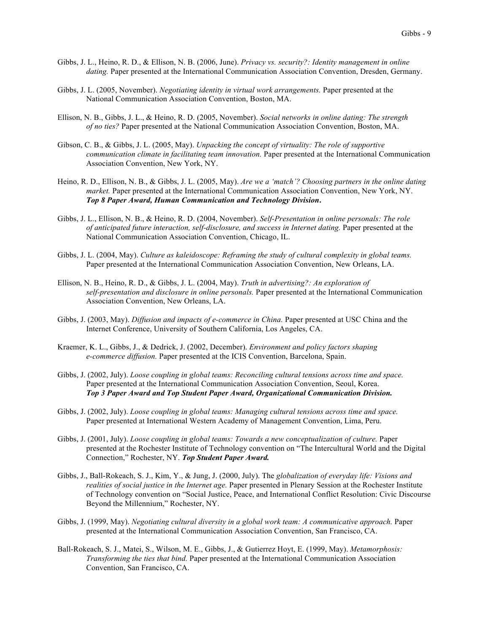- Gibbs, J. L., Heino, R. D., & Ellison, N. B. (2006, June). *Privacy vs. security?: Identity management in online dating.* Paper presented at the International Communication Association Convention, Dresden, Germany.
- Gibbs, J. L. (2005, November). *Negotiating identity in virtual work arrangements.* Paper presented at the National Communication Association Convention, Boston, MA.
- Ellison, N. B., Gibbs, J. L., & Heino, R. D. (2005, November). *Social networks in online dating: The strength of no ties?* Paper presented at the National Communication Association Convention, Boston, MA.
- Gibson, C. B., & Gibbs, J. L. (2005, May). *Unpacking the concept of virtuality: The role of supportive communication climate in facilitating team innovation.* Paper presented at the International Communication Association Convention, New York, NY.
- Heino, R. D., Ellison, N. B., & Gibbs, J. L. (2005, May). *Are we a 'match'? Choosing partners in the online dating market.* Paper presented at the International Communication Association Convention, New York, NY. *Top 8 Paper Award, Human Communication and Technology Division***.**
- Gibbs, J. L., Ellison, N. B., & Heino, R. D. (2004, November). *Self-Presentation in online personals: The role of anticipated future interaction, self-disclosure, and success in Internet dating.* Paper presented at the National Communication Association Convention, Chicago, IL.
- Gibbs, J. L. (2004, May). *Culture as kaleidoscope: Reframing the study of cultural complexity in global teams.* Paper presented at the International Communication Association Convention, New Orleans, LA.
- Ellison, N. B., Heino, R. D., & Gibbs, J. L. (2004, May). *Truth in advertising?: An exploration of self-presentation and disclosure in online personals.* Paper presented at the International Communication Association Convention, New Orleans, LA.
- Gibbs, J. (2003, May). *Diffusion and impacts of e-commerce in China.* Paper presented at USC China and the Internet Conference, University of Southern California, Los Angeles, CA.
- Kraemer, K. L., Gibbs, J., & Dedrick, J. (2002, December). *Environment and policy factors shaping e-commerce diffusion.* Paper presented at the ICIS Convention, Barcelona, Spain.
- Gibbs, J. (2002, July). *Loose coupling in global teams: Reconciling cultural tensions across time and space.* Paper presented at the International Communication Association Convention, Seoul, Korea. *Top 3 Paper Award and Top Student Paper Award, Organizational Communication Division.*
- Gibbs, J. (2002, July). *Loose coupling in global teams: Managing cultural tensions across time and space.* Paper presented at International Western Academy of Management Convention, Lima, Peru.
- Gibbs, J. (2001, July). *Loose coupling in global teams: Towards a new conceptualization of culture.* Paper presented at the Rochester Institute of Technology convention on "The Intercultural World and the Digital Connection," Rochester, NY. *Top Student Paper Award.*
- Gibbs, J., Ball-Rokeach, S. J., Kim, Y., & Jung, J. (2000, July). The *globalization of everyday life: Visions and realities of social justice in the Internet age.* Paper presented in Plenary Session at the Rochester Institute of Technology convention on "Social Justice, Peace, and International Conflict Resolution: Civic Discourse Beyond the Millennium," Rochester, NY.
- Gibbs, J. (1999, May). *Negotiating cultural diversity in a global work team: A communicative approach.* Paper presented at the International Communication Association Convention, San Francisco, CA.
- Ball-Rokeach, S. J., Matei, S., Wilson, M. E., Gibbs, J., & Gutierrez Hoyt, E. (1999, May). *Metamorphosis: Transforming the ties that bind.* Paper presented at the International Communication Association Convention, San Francisco, CA.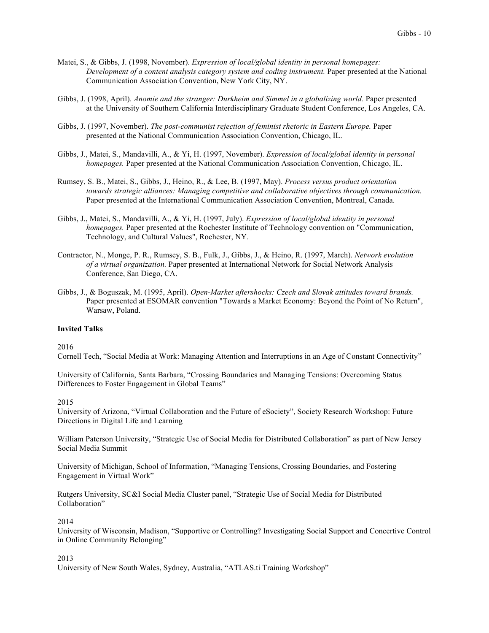- Matei, S., & Gibbs, J. (1998, November). *Expression of local/global identity in personal homepages: Development of a content analysis category system and coding instrument.* Paper presented at the National Communication Association Convention, New York City, NY.
- Gibbs, J. (1998, April). *Anomie and the stranger: Durkheim and Simmel in a globalizing world.* Paper presented at the University of Southern California Interdisciplinary Graduate Student Conference, Los Angeles, CA.
- Gibbs, J. (1997, November). *The post-communist rejection of feminist rhetoric in Eastern Europe.* Paper presented at the National Communication Association Convention, Chicago, IL.
- Gibbs, J., Matei, S., Mandavilli, A., & Yi, H. (1997, November). *Expression of local/global identity in personal homepages.* Paper presented at the National Communication Association Convention, Chicago, IL.
- Rumsey, S. B., Matei, S., Gibbs, J., Heino, R., & Lee, B. (1997, May). *Process versus product orientation towards strategic alliances: Managing competitive and collaborative objectives through communication.* Paper presented at the International Communication Association Convention, Montreal, Canada.
- Gibbs, J., Matei, S., Mandavilli, A., & Yi, H. (1997, July). *Expression of local/global identity in personal homepages.* Paper presented at the Rochester Institute of Technology convention on "Communication, Technology, and Cultural Values", Rochester, NY.
- Contractor, N., Monge, P. R., Rumsey, S. B., Fulk, J., Gibbs, J., & Heino, R. (1997, March). *Network evolution of a virtual organization.* Paper presented at International Network for Social Network Analysis Conference, San Diego, CA.
- Gibbs, J., & Boguszak, M. (1995, April). *Open-Market aftershocks: Czech and Slovak attitudes toward brands.* Paper presented at ESOMAR convention "Towards a Market Economy: Beyond the Point of No Return", Warsaw, Poland.

# **Invited Talks**

2016

Cornell Tech, "Social Media at Work: Managing Attention and Interruptions in an Age of Constant Connectivity"

University of California, Santa Barbara, "Crossing Boundaries and Managing Tensions: Overcoming Status Differences to Foster Engagement in Global Teams"

2015

University of Arizona, "Virtual Collaboration and the Future of eSociety", Society Research Workshop: Future Directions in Digital Life and Learning

William Paterson University, "Strategic Use of Social Media for Distributed Collaboration" as part of New Jersey Social Media Summit

University of Michigan, School of Information, "Managing Tensions, Crossing Boundaries, and Fostering Engagement in Virtual Work"

Rutgers University, SC&I Social Media Cluster panel, "Strategic Use of Social Media for Distributed Collaboration"

2014

University of Wisconsin, Madison, "Supportive or Controlling? Investigating Social Support and Concertive Control in Online Community Belonging"

2013

University of New South Wales, Sydney, Australia, "ATLAS.ti Training Workshop"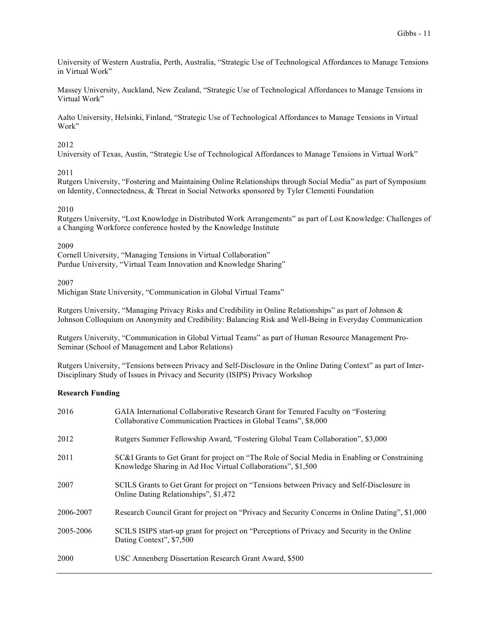University of Western Australia, Perth, Australia, "Strategic Use of Technological Affordances to Manage Tensions in Virtual Work"

Massey University, Auckland, New Zealand, "Strategic Use of Technological Affordances to Manage Tensions in Virtual Work"

Aalto University, Helsinki, Finland, "Strategic Use of Technological Affordances to Manage Tensions in Virtual Work"

# 2012

University of Texas, Austin, "Strategic Use of Technological Affordances to Manage Tensions in Virtual Work"

# 2011

Rutgers University, "Fostering and Maintaining Online Relationships through Social Media" as part of Symposium on Identity, Connectedness, & Threat in Social Networks sponsored by Tyler Clementi Foundation

# 2010

Rutgers University, "Lost Knowledge in Distributed Work Arrangements" as part of Lost Knowledge: Challenges of a Changing Workforce conference hosted by the Knowledge Institute

# 2009

Cornell University, "Managing Tensions in Virtual Collaboration" Purdue University, "Virtual Team Innovation and Knowledge Sharing"

# 2007

Michigan State University, "Communication in Global Virtual Teams"

Rutgers University, "Managing Privacy Risks and Credibility in Online Relationships" as part of Johnson & Johnson Colloquium on Anonymity and Credibility: Balancing Risk and Well-Being in Everyday Communication

Rutgers University, "Communication in Global Virtual Teams" as part of Human Resource Management Pro-Seminar (School of Management and Labor Relations)

Rutgers University, "Tensions between Privacy and Self-Disclosure in the Online Dating Context" as part of Inter-Disciplinary Study of Issues in Privacy and Security (ISIPS) Privacy Workshop

# **Research Funding**

| 2016      | GAIA International Collaborative Research Grant for Tenured Faculty on "Fostering"<br>Collaborative Communication Practices in Global Teams", \$8,000         |
|-----------|---------------------------------------------------------------------------------------------------------------------------------------------------------------|
| 2012      | Rutgers Summer Fellowship Award, "Fostering Global Team Collaboration", \$3,000                                                                               |
| 2011      | SC&I Grants to Get Grant for project on "The Role of Social Media in Enabling or Constraining<br>Knowledge Sharing in Ad Hoc Virtual Collaborations", \$1,500 |
| 2007      | SCILS Grants to Get Grant for project on "Tensions between Privacy and Self-Disclosure in<br>Online Dating Relationships", \$1,472                            |
| 2006-2007 | Research Council Grant for project on "Privacy and Security Concerns in Online Dating", \$1,000                                                               |
| 2005-2006 | SCILS ISIPS start-up grant for project on "Perceptions of Privacy and Security in the Online<br>Dating Context", \$7,500                                      |
| 2000      | USC Annenberg Dissertation Research Grant Award, \$500                                                                                                        |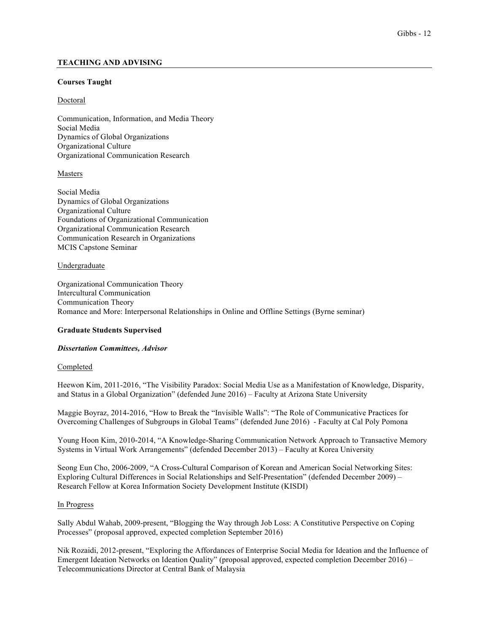# **TEACHING AND ADVISING**

## **Courses Taught**

# Doctoral

Communication, Information, and Media Theory Social Media Dynamics of Global Organizations Organizational Culture Organizational Communication Research

# Masters

Social Media Dynamics of Global Organizations Organizational Culture Foundations of Organizational Communication Organizational Communication Research Communication Research in Organizations MCIS Capstone Seminar

# Undergraduate

Organizational Communication Theory Intercultural Communication Communication Theory Romance and More: Interpersonal Relationships in Online and Offline Settings (Byrne seminar)

# **Graduate Students Supervised**

#### *Dissertation Committees, Advisor*

#### Completed

Heewon Kim, 2011-2016, "The Visibility Paradox: Social Media Use as a Manifestation of Knowledge, Disparity, and Status in a Global Organization" (defended June 2016) – Faculty at Arizona State University

Maggie Boyraz, 2014-2016, "How to Break the "Invisible Walls": "The Role of Communicative Practices for Overcoming Challenges of Subgroups in Global Teams" (defended June 2016) - Faculty at Cal Poly Pomona

Young Hoon Kim, 2010-2014, "A Knowledge-Sharing Communication Network Approach to Transactive Memory Systems in Virtual Work Arrangements" (defended December 2013) – Faculty at Korea University

Seong Eun Cho, 2006-2009, "A Cross-Cultural Comparison of Korean and American Social Networking Sites: Exploring Cultural Differences in Social Relationships and Self-Presentation" (defended December 2009) – Research Fellow at Korea Information Society Development Institute (KISDI)

#### In Progress

Sally Abdul Wahab, 2009-present, "Blogging the Way through Job Loss: A Constitutive Perspective on Coping Processes" (proposal approved, expected completion September 2016)

Nik Rozaidi, 2012-present, "Exploring the Affordances of Enterprise Social Media for Ideation and the Influence of Emergent Ideation Networks on Ideation Quality" (proposal approved, expected completion December 2016) – Telecommunications Director at Central Bank of Malaysia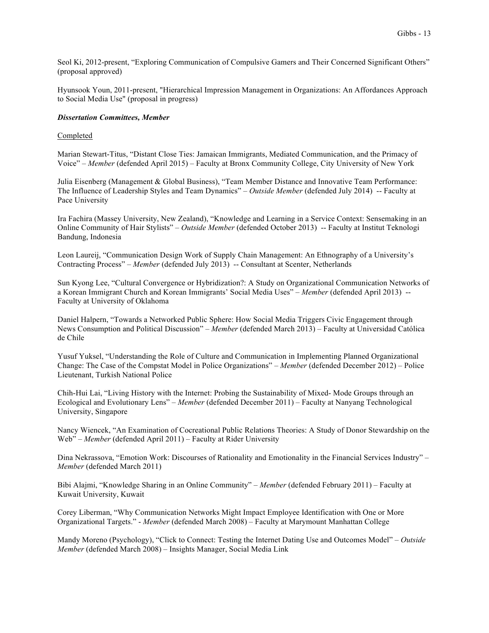Seol Ki, 2012-present, "Exploring Communication of Compulsive Gamers and Their Concerned Significant Others" (proposal approved)

Hyunsook Youn, 2011-present, "Hierarchical Impression Management in Organizations: An Affordances Approach to Social Media Use" (proposal in progress)

#### *Dissertation Committees, Member*

#### **Completed**

Marian Stewart-Titus, "Distant Close Ties: Jamaican Immigrants, Mediated Communication, and the Primacy of Voice" – *Member* (defended April 2015) – Faculty at Bronx Community College, City University of New York

Julia Eisenberg (Management & Global Business), "Team Member Distance and Innovative Team Performance: The Influence of Leadership Styles and Team Dynamics" – *Outside Member* (defended July 2014) -- Faculty at Pace University

Ira Fachira (Massey University, New Zealand), "Knowledge and Learning in a Service Context: Sensemaking in an Online Community of Hair Stylists" – *Outside Member* (defended October 2013) -- Faculty at Institut Teknologi Bandung, Indonesia

Leon Laureij, "Communication Design Work of Supply Chain Management: An Ethnography of a University's Contracting Process" – *Member* (defended July 2013) -- Consultant at Scenter, Netherlands

Sun Kyong Lee, "Cultural Convergence or Hybridization?: A Study on Organizational Communication Networks of a Korean Immigrant Church and Korean Immigrants' Social Media Uses" – *Member* (defended April 2013) -- Faculty at University of Oklahoma

Daniel Halpern, "Towards a Networked Public Sphere: How Social Media Triggers Civic Engagement through News Consumption and Political Discussion" – *Member* (defended March 2013) – Faculty at Universidad Católica de Chile

Yusuf Yuksel, "Understanding the Role of Culture and Communication in Implementing Planned Organizational Change: The Case of the Compstat Model in Police Organizations" – *Member* (defended December 2012) – Police Lieutenant, Turkish National Police

Chih-Hui Lai, "Living History with the Internet: Probing the Sustainability of Mixed- Mode Groups through an Ecological and Evolutionary Lens" – *Member* (defended December 2011) – Faculty at Nanyang Technological University, Singapore

Nancy Wiencek, "An Examination of Cocreational Public Relations Theories: A Study of Donor Stewardship on the Web" – *Member* (defended April 2011) – Faculty at Rider University

Dina Nekrassova, "Emotion Work: Discourses of Rationality and Emotionality in the Financial Services Industry" – *Member* (defended March 2011)

Bibi Alajmi, "Knowledge Sharing in an Online Community" – *Member* (defended February 2011) – Faculty at Kuwait University, Kuwait

Corey Liberman, "Why Communication Networks Might Impact Employee Identification with One or More Organizational Targets." - *Member* (defended March 2008) – Faculty at Marymount Manhattan College

Mandy Moreno (Psychology), "Click to Connect: Testing the Internet Dating Use and Outcomes Model" – *Outside Member* (defended March 2008) – Insights Manager, Social Media Link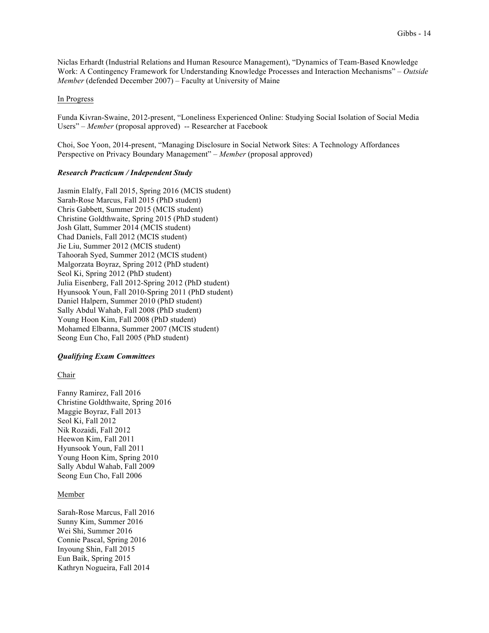Niclas Erhardt (Industrial Relations and Human Resource Management), "Dynamics of Team-Based Knowledge Work: A Contingency Framework for Understanding Knowledge Processes and Interaction Mechanisms" – *Outside Member* (defended December 2007) – Faculty at University of Maine

#### In Progress

Funda Kivran-Swaine, 2012-present, "Loneliness Experienced Online: Studying Social Isolation of Social Media Users" – *Member* (proposal approved) -- Researcher at Facebook

Choi, Soe Yoon, 2014-present, "Managing Disclosure in Social Network Sites: A Technology Affordances Perspective on Privacy Boundary Management" – *Member* (proposal approved)

#### *Research Practicum / Independent Study*

Jasmin Elalfy, Fall 2015, Spring 2016 (MCIS student) Sarah-Rose Marcus, Fall 2015 (PhD student) Chris Gabbett, Summer 2015 (MCIS student) Christine Goldthwaite, Spring 2015 (PhD student) Josh Glatt, Summer 2014 (MCIS student) Chad Daniels, Fall 2012 (MCIS student) Jie Liu, Summer 2012 (MCIS student) Tahoorah Syed, Summer 2012 (MCIS student) Malgorzata Boyraz, Spring 2012 (PhD student) Seol Ki, Spring 2012 (PhD student) Julia Eisenberg, Fall 2012-Spring 2012 (PhD student) Hyunsook Youn, Fall 2010-Spring 2011 (PhD student) Daniel Halpern, Summer 2010 (PhD student) Sally Abdul Wahab, Fall 2008 (PhD student) Young Hoon Kim, Fall 2008 (PhD student) Mohamed Elbanna, Summer 2007 (MCIS student) Seong Eun Cho, Fall 2005 (PhD student)

#### *Qualifying Exam Committees*

Chair

Fanny Ramirez, Fall 2016 Christine Goldthwaite, Spring 2016 Maggie Boyraz, Fall 2013 Seol Ki, Fall 2012 Nik Rozaidi, Fall 2012 Heewon Kim, Fall 2011 Hyunsook Youn, Fall 2011 Young Hoon Kim, Spring 2010 Sally Abdul Wahab, Fall 2009 Seong Eun Cho, Fall 2006

#### Member

Sarah-Rose Marcus, Fall 2016 Sunny Kim, Summer 2016 Wei Shi, Summer 2016 Connie Pascal, Spring 2016 Inyoung Shin, Fall 2015 Eun Baik, Spring 2015 Kathryn Nogueira, Fall 2014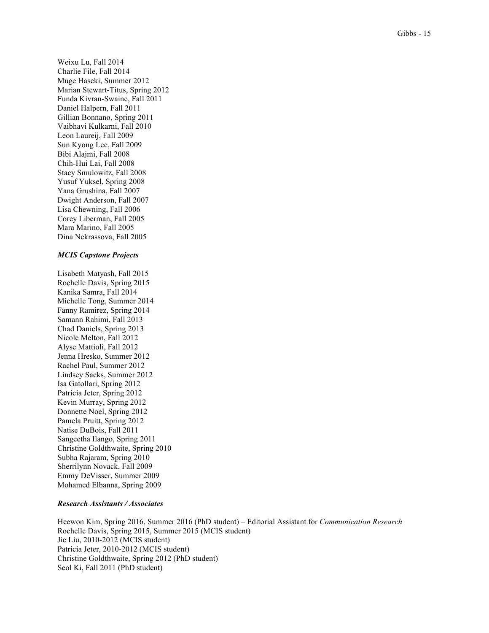Weixu Lu, Fall 2014 Charlie File, Fall 2014 Muge Haseki, Summer 2012 Marian Stewart-Titus, Spring 2012 Funda Kivran-Swaine, Fall 2011 Daniel Halpern, Fall 2011 Gillian Bonnano, Spring 2011 Vaibhavi Kulkarni, Fall 2010 Leon Laureij, Fall 2009 Sun Kyong Lee, Fall 2009 Bibi Alajmi, Fall 2008 Chih-Hui Lai, Fall 2008 Stacy Smulowitz, Fall 2008 Yusuf Yuksel, Spring 2008 Yana Grushina, Fall 2007 Dwight Anderson, Fall 2007 Lisa Chewning, Fall 2006 Corey Liberman, Fall 2005 Mara Marino, Fall 2005 Dina Nekrassova, Fall 2005

#### *MCIS Capstone Projects*

Lisabeth Matyash, Fall 2015 Rochelle Davis, Spring 2015 Kanika Samra, Fall 2014 Michelle Tong, Summer 2014 Fanny Ramirez, Spring 2014 Samann Rahimi, Fall 2013 Chad Daniels, Spring 2013 Nicole Melton, Fall 2012 Alyse Mattioli, Fall 2012 Jenna Hresko, Summer 2012 Rachel Paul, Summer 2012 Lindsey Sacks, Summer 2012 Isa Gatollari, Spring 2012 Patricia Jeter, Spring 2012 Kevin Murray, Spring 2012 Donnette Noel, Spring 2012 Pamela Pruitt, Spring 2012 Natise DuBois, Fall 2011 Sangeetha Ilango, Spring 2011 Christine Goldthwaite, Spring 2010 Subha Rajaram, Spring 2010 Sherrilynn Novack, Fall 2009 Emmy DeVisser, Summer 2009 Mohamed Elbanna, Spring 2009

#### *Research Assistants / Associates*

Heewon Kim, Spring 2016, Summer 2016 (PhD student) – Editorial Assistant for *Communication Research* Rochelle Davis, Spring 2015, Summer 2015 (MCIS student) Jie Liu, 2010-2012 (MCIS student) Patricia Jeter, 2010-2012 (MCIS student) Christine Goldthwaite, Spring 2012 (PhD student) Seol Ki, Fall 2011 (PhD student)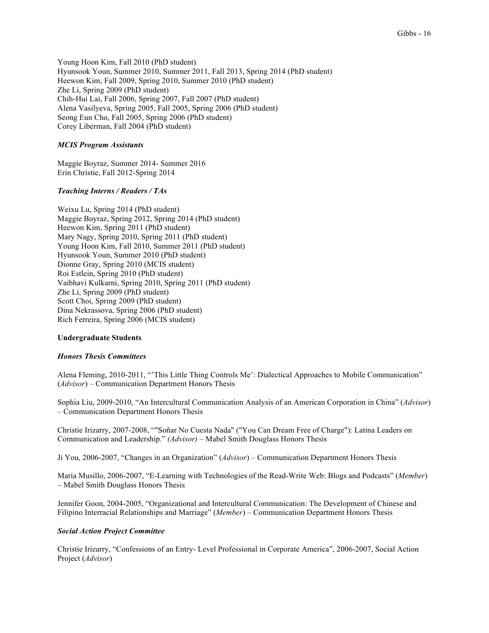Young Hoon Kim, Fall 2010 (PhD student) Hyunsook Youn, Summer 2010, Summer 2011, Fall 2013, Spring 2014 (PhD student) Heewon Kim, Fall 2009, Spring 2010, Summer 2010 (PhD student) Zhe Li, Spring 2009 (PhD student) Chih-Hui Lai, Fall 2006, Spring 2007, Fall 2007 (PhD student) Alena Vasilyeva, Spring 2005, Fall 2005, Spring 2006 (PhD student) Seong Eun Cho, Fall 2005, Spring 2006 (PhD student) Corey Liberman, Fall 2004 (PhD student)

# *MCIS Program Assistants*

Maggie Boyraz, Summer 2014- Summer 2016 Erin Christie, Fall 2012-Spring 2014

# *Teaching Interns / Readers / TAs*

Weixu Lu, Spring 2014 (PhD student) Maggie Boyraz, Spring 2012, Spring 2014 (PhD student) Heewon Kim, Spring 2011 (PhD student) Mary Nagy, Spring 2010, Spring 2011 (PhD student) Young Hoon Kim, Fall 2010, Summer 2011 (PhD student) Hyunsook Youn, Summer 2010 (PhD student) Dionne Gray, Spring 2010 (MCIS student) Roi Estlein, Spring 2010 (PhD student) Vaibhavi Kulkarni, Spring 2010, Spring 2011 (PhD student) Zhe Li, Spring 2009 (PhD student) Scott Choi, Spring 2009 (PhD student) Dina Nekrassova, Spring 2006 (PhD student) Rich Ferreira, Spring 2006 (MCIS student)

# **Undergraduate Students**

#### *Honors Thesis Committees*

Alena Fleming, 2010-2011, "'This Little Thing Controls Me': Dialectical Approaches to Mobile Communication" (*Advisor*) – Communication Department Honors Thesis

Sophia Liu, 2009-2010, "An Intercultural Communication Analysis of an American Corporation in China" (*Advisor*) – Communication Department Honors Thesis

Christie Irizarry, 2007-2008, ""Soñar No Cuesta Nada" ("You Can Dream Free of Charge"): Latina Leaders on Communication and Leadership." *(Advisor)* – Mabel Smith Douglass Honors Thesis

Ji You, 2006-2007, "Changes in an Organization" (*Advisor*) – Communication Department Honors Thesis

Maria Musillo, 2006-2007, "E-Learning with Technologies of the Read-Write Web: Blogs and Podcasts" (*Member*) – Mabel Smith Douglass Honors Thesis

Jennifer Goon, 2004-2005, "Organizational and Intercultural Communication: The Development of Chinese and Filipino Interracial Relationships and Marriage" (*Member*) – Communication Department Honors Thesis

#### *Social Action Project Committee*

Christie Irizarry, "Confessions of an Entry- Level Professional in Corporate America", 2006-2007, Social Action Project (*Advisor*)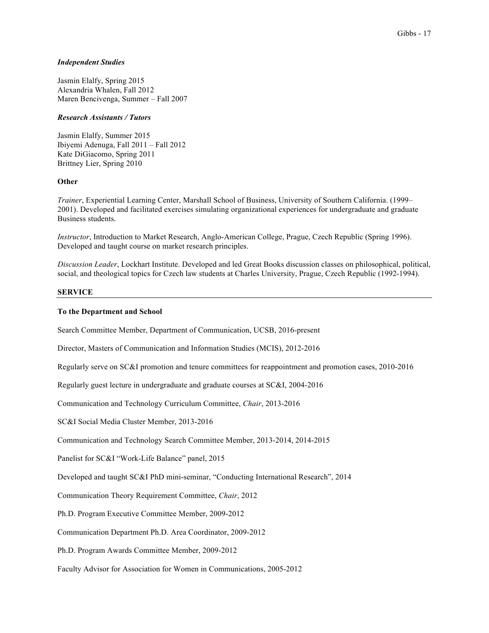# *Independent Studies*

Jasmin Elalfy, Spring 2015 Alexandria Whalen, Fall 2012 Maren Bencivenga, Summer – Fall 2007

#### *Research Assistants / Tutors*

Jasmin Elalfy, Summer 2015 Ibiyemi Adenuga, Fall 2011 – Fall 2012 Kate DiGiacomo, Spring 2011 Brittney Lier, Spring 2010

# **Other**

*Trainer*, Experiential Learning Center, Marshall School of Business, University of Southern California. (1999– 2001). Developed and facilitated exercises simulating organizational experiences for undergraduate and graduate Business students.

*Instructor*, Introduction to Market Research, Anglo-American College, Prague, Czech Republic (Spring 1996). Developed and taught course on market research principles.

*Discussion Leader*, Lockhart Institute. Developed and led Great Books discussion classes on philosophical, political, social, and theological topics for Czech law students at Charles University, Prague, Czech Republic (1992-1994).

# **SERVICE**

# **To the Department and School**

Search Committee Member, Department of Communication, UCSB, 2016-present

Director, Masters of Communication and Information Studies (MCIS), 2012-2016

Regularly serve on SC&I promotion and tenure committees for reappointment and promotion cases, 2010-2016

Regularly guest lecture in undergraduate and graduate courses at SC&I, 2004-2016

Communication and Technology Curriculum Committee, *Chair*, 2013-2016

SC&I Social Media Cluster Member, 2013-2016

Communication and Technology Search Committee Member, 2013-2014, 2014-2015

Panelist for SC&I "Work-Life Balance" panel, 2015

Developed and taught SC&I PhD mini-seminar, "Conducting International Research", 2014

Communication Theory Requirement Committee, *Chair*, 2012

Ph.D. Program Executive Committee Member, 2009-2012

Communication Department Ph.D. Area Coordinator, 2009-2012

Ph.D. Program Awards Committee Member, 2009-2012

Faculty Advisor for Association for Women in Communications, 2005-2012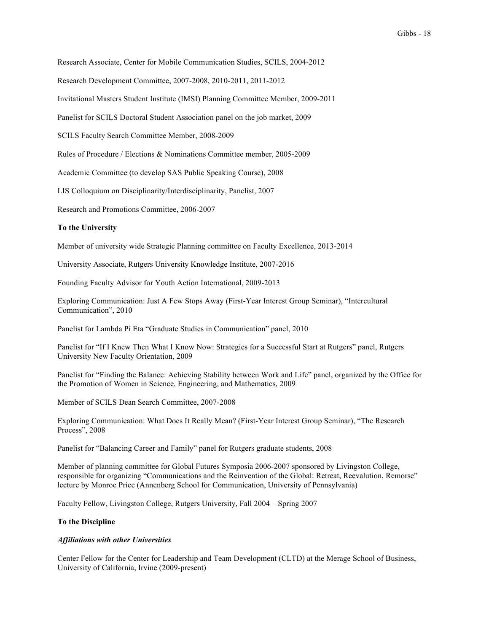Research Associate, Center for Mobile Communication Studies, SCILS, 2004-2012

Research Development Committee, 2007-2008, 2010-2011, 2011-2012

Invitational Masters Student Institute (IMSI) Planning Committee Member, 2009-2011

Panelist for SCILS Doctoral Student Association panel on the job market, 2009

SCILS Faculty Search Committee Member, 2008-2009

Rules of Procedure / Elections & Nominations Committee member, 2005-2009

Academic Committee (to develop SAS Public Speaking Course), 2008

LIS Colloquium on Disciplinarity/Interdisciplinarity, Panelist, 2007

Research and Promotions Committee, 2006-2007

#### **To the University**

Member of university wide Strategic Planning committee on Faculty Excellence, 2013-2014

University Associate, Rutgers University Knowledge Institute, 2007-2016

Founding Faculty Advisor for Youth Action International, 2009-2013

Exploring Communication: Just A Few Stops Away (First-Year Interest Group Seminar), "Intercultural Communication", 2010

Panelist for Lambda Pi Eta "Graduate Studies in Communication" panel, 2010

Panelist for "If I Knew Then What I Know Now: Strategies for a Successful Start at Rutgers" panel, Rutgers University New Faculty Orientation, 2009

Panelist for "Finding the Balance: Achieving Stability between Work and Life" panel, organized by the Office for the Promotion of Women in Science, Engineering, and Mathematics, 2009

Member of SCILS Dean Search Committee, 2007-2008

Exploring Communication: What Does It Really Mean? (First-Year Interest Group Seminar), "The Research Process", 2008

Panelist for "Balancing Career and Family" panel for Rutgers graduate students, 2008

Member of planning committee for Global Futures Symposia 2006-2007 sponsored by Livingston College, responsible for organizing "Communications and the Reinvention of the Global: Retreat, Reevalution, Remorse" lecture by Monroe Price (Annenberg School for Communication, University of Pennsylvania)

Faculty Fellow, Livingston College, Rutgers University, Fall 2004 – Spring 2007

# **To the Discipline**

#### *Affiliations with other Universities*

Center Fellow for the Center for Leadership and Team Development (CLTD) at the Merage School of Business, University of California, Irvine (2009-present)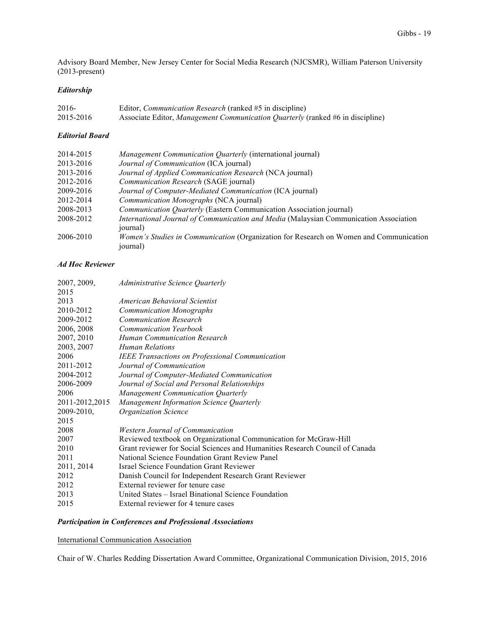Advisory Board Member, New Jersey Center for Social Media Research (NJCSMR), William Paterson University (2013-present)

# *Editorship*

| 2016-     | Editor, <i>Communication Research</i> (ranked #5 in discipline)                       |
|-----------|---------------------------------------------------------------------------------------|
| 2015-2016 | Associate Editor, <i>Management Communication Quarterly</i> (ranked #6 in discipline) |

# *Editorial Board*

| 2014-2015 | Management Communication Quarterly (international journal)                                         |
|-----------|----------------------------------------------------------------------------------------------------|
| 2013-2016 | Journal of Communication (ICA journal)                                                             |
| 2013-2016 | Journal of Applied Communication Research (NCA journal)                                            |
| 2012-2016 | Communication Research (SAGE journal)                                                              |
| 2009-2016 | Journal of Computer-Mediated Communication (ICA journal)                                           |
| 2012-2014 | Communication Monographs (NCA journal)                                                             |
| 2008-2013 | Communication Quarterly (Eastern Communication Association journal)                                |
| 2008-2012 | International Journal of Communication and Media (Malaysian Communication Association<br>journal)  |
| 2006-2010 | Women's Studies in Communication (Organization for Research on Women and Communication<br>journal) |

# *Ad Hoc Reviewer*

| 2007, 2009,    | <i>Administrative Science Quarterly</i>                                      |
|----------------|------------------------------------------------------------------------------|
| 2015           |                                                                              |
| 2013           | American Behavioral Scientist                                                |
| 2010-2012      | <b>Communication Monographs</b>                                              |
| 2009-2012      | <b>Communication Research</b>                                                |
| 2006, 2008     | <b>Communication Yearbook</b>                                                |
| 2007, 2010     | <b>Human Communication Research</b>                                          |
| 2003, 2007     | Human Relations                                                              |
| 2006           | <b>IEEE Transactions on Professional Communication</b>                       |
| 2011-2012      | Journal of Communication                                                     |
| 2004-2012      | Journal of Computer-Mediated Communication                                   |
| 2006-2009      | Journal of Social and Personal Relationships                                 |
| 2006           | Management Communication Quarterly                                           |
| 2011-2012,2015 | Management Information Science Quarterly                                     |
| 2009-2010,     | <b>Organization Science</b>                                                  |
| 2015           |                                                                              |
| 2008           | <b>Western Journal of Communication</b>                                      |
| 2007           | Reviewed textbook on Organizational Communication for McGraw-Hill            |
| 2010           | Grant reviewer for Social Sciences and Humanities Research Council of Canada |
| 2011           | National Science Foundation Grant Review Panel                               |
| 2011, 2014     | <b>Israel Science Foundation Grant Reviewer</b>                              |
| 2012           | Danish Council for Independent Research Grant Reviewer                       |
| 2012           | External reviewer for tenure case                                            |
| 2013           | United States – Israel Binational Science Foundation                         |
| 2015           | External reviewer for 4 tenure cases                                         |

# *Participation in Conferences and Professional Associations*

# International Communication Association

Chair of W. Charles Redding Dissertation Award Committee, Organizational Communication Division, 2015, 2016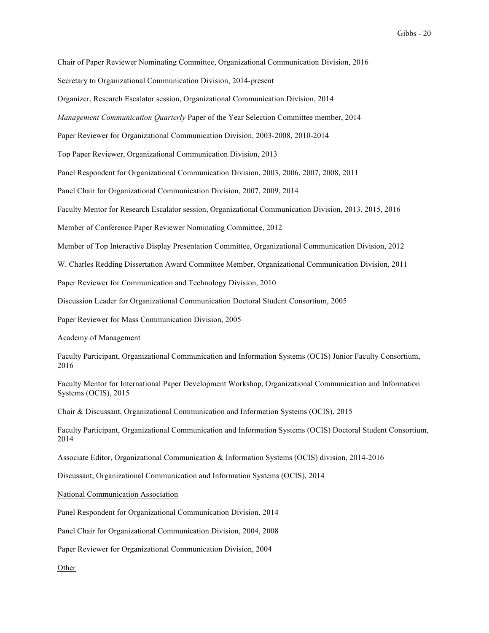Chair of Paper Reviewer Nominating Committee, Organizational Communication Division, 2016

Secretary to Organizational Communication Division, 2014-present

Organizer, Research Escalator session, Organizational Communication Division, 2014

*Management Communication Quarterly* Paper of the Year Selection Committee member, 2014

Paper Reviewer for Organizational Communication Division, 2003-2008, 2010-2014

Top Paper Reviewer, Organizational Communication Division, 2013

Panel Respondent for Organizational Communication Division, 2003, 2006, 2007, 2008, 2011

Panel Chair for Organizational Communication Division, 2007, 2009, 2014

Faculty Mentor for Research Escalator session, Organizational Communication Division, 2013, 2015, 2016

Member of Conference Paper Reviewer Nominating Committee, 2012

Member of Top Interactive Display Presentation Committee, Organizational Communication Division, 2012

W. Charles Redding Dissertation Award Committee Member, Organizational Communication Division, 2011

Paper Reviewer for Communication and Technology Division, 2010

Discussion Leader for Organizational Communication Doctoral Student Consortium, 2005

Paper Reviewer for Mass Communication Division, 2005

#### Academy of Management

Faculty Participant, Organizational Communication and Information Systems (OCIS) Junior Faculty Consortium, 2016

Faculty Mentor for International Paper Development Workshop, Organizational Communication and Information Systems (OCIS), 2015

Chair & Discussant, Organizational Communication and Information Systems (OCIS), 2015

Faculty Participant, Organizational Communication and Information Systems (OCIS) Doctoral Student Consortium, 2014

Associate Editor, Organizational Communication & Information Systems (OCIS) division, 2014-2016

Discussant, Organizational Communication and Information Systems (OCIS), 2014

#### National Communication Association

Panel Respondent for Organizational Communication Division, 2014

Panel Chair for Organizational Communication Division, 2004, 2008

Paper Reviewer for Organizational Communication Division, 2004

Other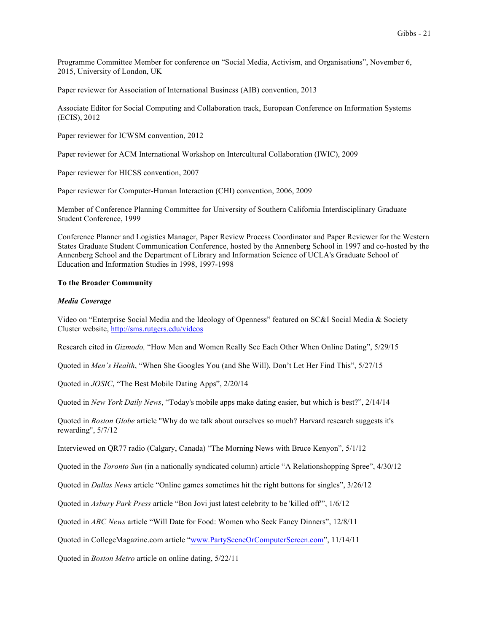Programme Committee Member for conference on "Social Media, Activism, and Organisations", November 6, 2015, University of London, UK

Paper reviewer for Association of International Business (AIB) convention, 2013

Associate Editor for Social Computing and Collaboration track, European Conference on Information Systems (ECIS), 2012

Paper reviewer for ICWSM convention, 2012

Paper reviewer for ACM International Workshop on Intercultural Collaboration (IWIC), 2009

Paper reviewer for HICSS convention, 2007

Paper reviewer for Computer-Human Interaction (CHI) convention, 2006, 2009

Member of Conference Planning Committee for University of Southern California Interdisciplinary Graduate Student Conference, 1999

Conference Planner and Logistics Manager, Paper Review Process Coordinator and Paper Reviewer for the Western States Graduate Student Communication Conference, hosted by the Annenberg School in 1997 and co-hosted by the Annenberg School and the Department of Library and Information Science of UCLA's Graduate School of Education and Information Studies in 1998, 1997-1998

#### **To the Broader Community**

#### *Media Coverage*

Video on "Enterprise Social Media and the Ideology of Openness" featured on SC&I Social Media & Society Cluster website, http://sms.rutgers.edu/videos

Research cited in *Gizmodo,* "How Men and Women Really See Each Other When Online Dating", 5/29/15

Quoted in *Men's Health*, "When She Googles You (and She Will), Don't Let Her Find This", 5/27/15

Quoted in *JOSIC*, "The Best Mobile Dating Apps", 2/20/14

Quoted in *New York Daily News*, "Today's mobile apps make dating easier, but which is best?", 2/14/14

Quoted in *Boston Globe* article "Why do we talk about ourselves so much? Harvard research suggests it's rewarding", 5/7/12

Interviewed on QR77 radio (Calgary, Canada) "The Morning News with Bruce Kenyon", 5/1/12

Quoted in the *Toronto Sun* (in a nationally syndicated column) article "A Relationshopping Spree", 4/30/12

Quoted in *Dallas News* article "Online games sometimes hit the right buttons for singles", 3/26/12

Quoted in *Asbury Park Press* article "Bon Jovi just latest celebrity to be 'killed off'", 1/6/12

Quoted in *ABC News* article "Will Date for Food: Women who Seek Fancy Dinners", 12/8/11

Quoted in CollegeMagazine.com article "www.PartySceneOrComputerScreen.com", 11/14/11

Quoted in *Boston Metro* article on online dating, 5/22/11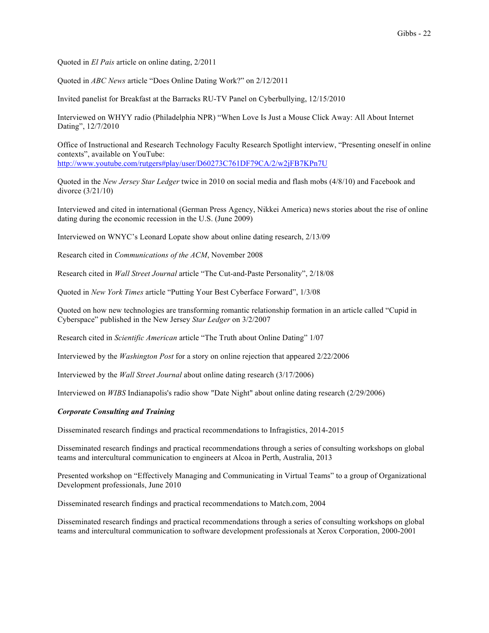Quoted in *El Pais* article on online dating, 2/2011

Quoted in *ABC News* article "Does Online Dating Work?" on 2/12/2011

Invited panelist for Breakfast at the Barracks RU-TV Panel on Cyberbullying, 12/15/2010

Interviewed on WHYY radio (Philadelphia NPR) "When Love Is Just a Mouse Click Away: All About Internet Dating", 12/7/2010

Office of Instructional and Research Technology Faculty Research Spotlight interview, "Presenting oneself in online contexts", available on YouTube: http://www.youtube.com/rutgers#play/user/D60273C761DF79CA/2/w2jFB7KPn7U

Quoted in the *New Jersey Star Ledger* twice in 2010 on social media and flash mobs (4/8/10) and Facebook and divorce (3/21/10)

Interviewed and cited in international (German Press Agency, Nikkei America) news stories about the rise of online dating during the economic recession in the U.S. (June 2009)

Interviewed on WNYC's Leonard Lopate show about online dating research, 2/13/09

Research cited in *Communications of the ACM*, November 2008

Research cited in *Wall Street Journal* article "The Cut-and-Paste Personality", 2/18/08

Quoted in *New York Times* article "Putting Your Best Cyberface Forward", 1/3/08

Quoted on how new technologies are transforming romantic relationship formation in an article called "Cupid in Cyberspace" published in the New Jersey *Star Ledger* on 3/2/2007

Research cited in *Scientific American* article "The Truth about Online Dating" 1/07

Interviewed by the *Washington Post* for a story on online rejection that appeared 2/22/2006

Interviewed by the *Wall Street Journal* about online dating research (3/17/2006)

Interviewed on *WIBS* Indianapolis's radio show "Date Night" about online dating research (2/29/2006)

## *Corporate Consulting and Training*

Disseminated research findings and practical recommendations to Infragistics, 2014-2015

Disseminated research findings and practical recommendations through a series of consulting workshops on global teams and intercultural communication to engineers at Alcoa in Perth, Australia, 2013

Presented workshop on "Effectively Managing and Communicating in Virtual Teams" to a group of Organizational Development professionals, June 2010

Disseminated research findings and practical recommendations to Match.com, 2004

Disseminated research findings and practical recommendations through a series of consulting workshops on global teams and intercultural communication to software development professionals at Xerox Corporation, 2000-2001